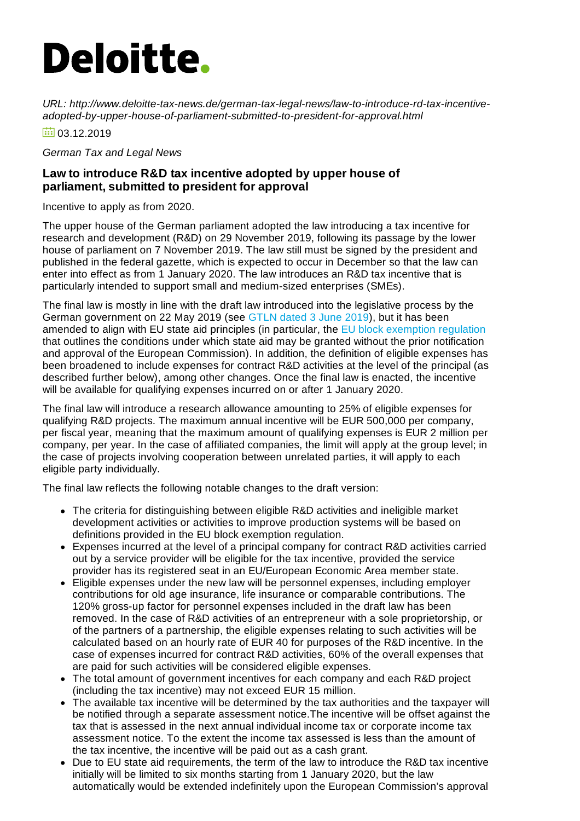## **Deloitte.**

*URL: http://www.deloitte-tax-news.de/german-tax-legal-news/law-to-introduce-rd-tax-incentiveadopted-by-upper-house-of-parliament-submitted-to-president-for-approval.html*

 $\overline{60}$  03.12.2019

*German Tax and Legal News*

## **Law to introduce R&D tax incentive adopted by upper house of parliament, submitted to president for approval**

Incentive to apply as from 2020.

The upper house of the German parliament adopted the law introducing a tax incentive for research and development (R&D) on 29 November 2019, following its passage by the lower house of parliament on 7 November 2019. The law still must be signed by the president and published in the federal gazette, which is expected to occur in December so that the law can enter into effect as from 1 January 2020. The law introduces an R&D tax incentive that is particularly intended to support small and medium-sized enterprises (SMEs).

The final law is mostly in line with the draft law introduced into the legislative process by the German government on 22 May 2019 (see [GTLN](https://www.deloitte-tax-news.de/german-tax-legal-news/draft-law-on-rd-tax-incentive-submitted-to-upper-house-of-parliament.html) dated 3 June 2019), but it has been amended to align with EU state aid principles (in particular, the EU block [exemption](https://eur-lex.europa.eu/eli/reg/2014/651/2017-07-10) regulation that outlines the conditions under which state aid may be granted without the prior notification and approval of the European Commission). In addition, the definition of eligible expenses has been broadened to include expenses for contract R&D activities at the level of the principal (as described further below), among other changes. Once the final law is enacted, the incentive will be available for qualifying expenses incurred on or after 1 January 2020.

The final law will introduce a research allowance amounting to 25% of eligible expenses for qualifying R&D projects. The maximum annual incentive will be EUR 500,000 per company, per fiscal year, meaning that the maximum amount of qualifying expenses is EUR 2 million per company, per year. In the case of affiliated companies, the limit will apply at the group level; in the case of projects involving cooperation between unrelated parties, it will apply to each eligible party individually.

The final law reflects the following notable changes to the draft version:

- The criteria for distinguishing between eligible R&D activities and ineligible market development activities or activities to improve production systems will be based on definitions provided in the EU block exemption regulation.
- Expenses incurred at the level of a principal company for contract R&D activities carried out by a service provider will be eligible for the tax incentive, provided the service provider has its registered seat in an EU/European Economic Area member state.
- Eligible expenses under the new law will be personnel expenses, including employer contributions for old age insurance, life insurance or comparable contributions. The 120% gross-up factor for personnel expenses included in the draft law has been removed. In the case of R&D activities of an entrepreneur with a sole proprietorship, or of the partners of a partnership, the eligible expenses relating to such activities will be calculated based on an hourly rate of EUR 40 for purposes of the R&D incentive. In the case of expenses incurred for contract R&D activities, 60% of the overall expenses that are paid for such activities will be considered eligible expenses.
- The total amount of government incentives for each company and each R&D project (including the tax incentive) may not exceed EUR 15 million.
- The available tax incentive will be determined by the tax authorities and the taxpayer will be notified through a separate assessment notice.The incentive will be offset against the tax that is assessed in the next annual individual income tax or corporate income tax assessment notice. To the extent the income tax assessed is less than the amount of the tax incentive, the incentive will be paid out as a cash grant.
- Due to EU state aid requirements, the term of the law to introduce the R&D tax incentive initially will be limited to six months starting from 1 January 2020, but the law automatically would be extended indefinitely upon the European Commission's approval